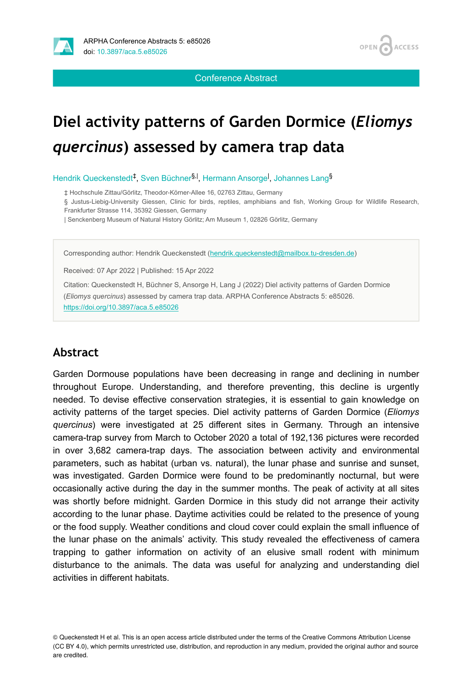

**OPEN ACCESS** 

Conference Abstract

# **Diel activity patterns of Garden Dormice (***Eliomys quercinus***) assessed by camera trap data**

Hendrik Queckenstedt<sup>‡</sup>, Sven Büchner<sup>§, |</sup>, Hermann Ansorge<sup>l</sup>, Johannes Lang<sup>§</sup>

‡ Hochschule Zittau/Görlitz, Theodor-Körner-Allee 16, 02763 Zittau, Germany

§ Justus-Liebig-University Giessen, Clinic for birds, reptiles, amphibians and fish, Working Group for Wildlife Research, Frankfurter Strasse 114, 35392 Giessen, Germany

| Senckenberg Museum of Natural History Görlitz; Am Museum 1, 02826 Görlitz, Germany

Corresponding author: Hendrik Queckenstedt ([hendrik.queckenstedt@mailbox.tu-dresden.de\)](mailto:hendrik.queckenstedt@mailbox.tu-dresden.de)

Received: 07 Apr 2022 | Published: 15 Apr 2022

Citation: Queckenstedt H, Büchner S, Ansorge H, Lang J (2022) Diel activity patterns of Garden Dormice (*Eliomys quercinus*) assessed by camera trap data. ARPHA Conference Abstracts 5: e85026. <https://doi.org/10.3897/aca.5.e85026>

#### **Abstract**

Garden Dormouse populations have been decreasing in range and declining in number throughout Europe. Understanding, and therefore preventing, this decline is urgently needed. To devise effective conservation strategies, it is essential to gain knowledge on activity patterns of the target species. Diel activity patterns of Garden Dormice (*Eliomys quercinus*) were investigated at 25 different sites in Germany. Through an intensive camera-trap survey from March to October 2020 a total of 192,136 pictures were recorded in over 3,682 camera-trap days. The association between activity and environmental parameters, such as habitat (urban vs. natural), the lunar phase and sunrise and sunset, was investigated. Garden Dormice were found to be predominantly nocturnal, but were occasionally active during the day in the summer months. The peak of activity at all sites was shortly before midnight. Garden Dormice in this study did not arrange their activity according to the lunar phase. Daytime activities could be related to the presence of young or the food supply. Weather conditions and cloud cover could explain the small influence of the lunar phase on the animals' activity. This study revealed the effectiveness of camera trapping to gather information on activity of an elusive small rodent with minimum disturbance to the animals. The data was useful for analyzing and understanding diel activities in different habitats.

<sup>©</sup> Queckenstedt H et al. This is an open access article distributed under the terms of the Creative Commons Attribution License (CC BY 4.0), which permits unrestricted use, distribution, and reproduction in any medium, provided the original author and source are credited.